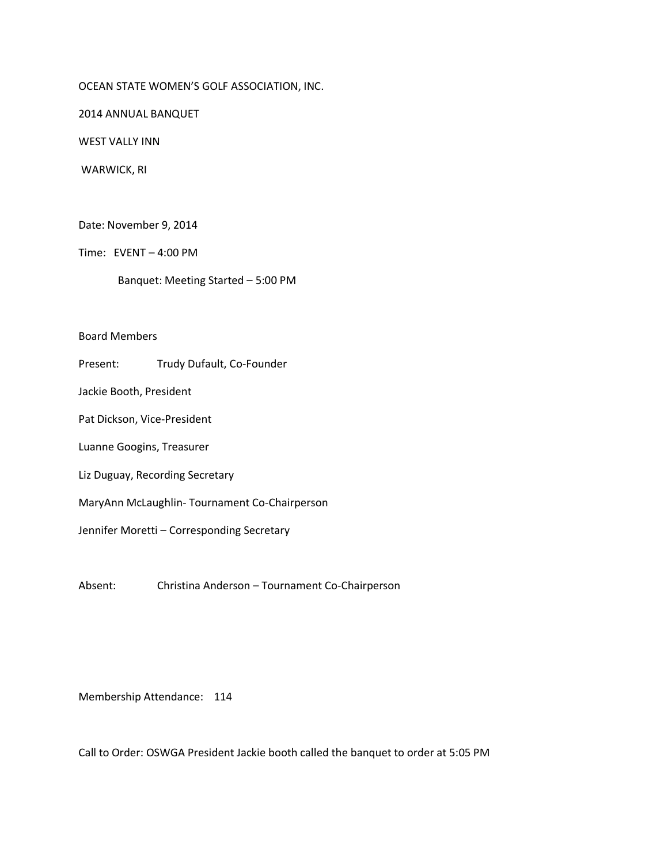## OCEAN STATE WOMEN'S GOLF ASSOCIATION, INC.

2014 ANNUAL BANQUET

WEST VALLY INN

WARWICK, RI

Date: November 9, 2014

Time: EVENT – 4:00 PM

Banquet: Meeting Started – 5:00 PM

Board Members

Present: Trudy Dufault, Co-Founder

Jackie Booth, President

Pat Dickson, Vice-President

Luanne Googins, Treasurer

Liz Duguay, Recording Secretary

MaryAnn McLaughlin- Tournament Co-Chairperson

Jennifer Moretti – Corresponding Secretary

Absent: Christina Anderson – Tournament Co-Chairperson

Membership Attendance: 114

Call to Order: OSWGA President Jackie booth called the banquet to order at 5:05 PM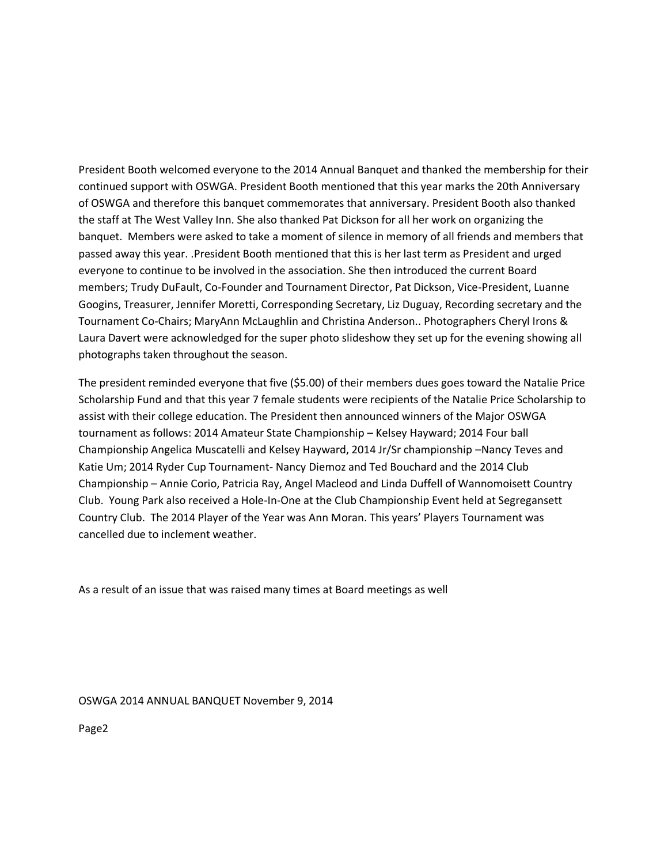President Booth welcomed everyone to the 2014 Annual Banquet and thanked the membership for their continued support with OSWGA. President Booth mentioned that this year marks the 20th Anniversary of OSWGA and therefore this banquet commemorates that anniversary. President Booth also thanked the staff at The West Valley Inn. She also thanked Pat Dickson for all her work on organizing the banquet. Members were asked to take a moment of silence in memory of all friends and members that passed away this year. .President Booth mentioned that this is her last term as President and urged everyone to continue to be involved in the association. She then introduced the current Board members; Trudy DuFault, Co-Founder and Tournament Director, Pat Dickson, Vice-President, Luanne Googins, Treasurer, Jennifer Moretti, Corresponding Secretary, Liz Duguay, Recording secretary and the Tournament Co-Chairs; MaryAnn McLaughlin and Christina Anderson.. Photographers Cheryl Irons & Laura Davert were acknowledged for the super photo slideshow they set up for the evening showing all photographs taken throughout the season.

The president reminded everyone that five (\$5.00) of their members dues goes toward the Natalie Price Scholarship Fund and that this year 7 female students were recipients of the Natalie Price Scholarship to assist with their college education. The President then announced winners of the Major OSWGA tournament as follows: 2014 Amateur State Championship – Kelsey Hayward; 2014 Four ball Championship Angelica Muscatelli and Kelsey Hayward, 2014 Jr/Sr championship –Nancy Teves and Katie Um; 2014 Ryder Cup Tournament- Nancy Diemoz and Ted Bouchard and the 2014 Club Championship – Annie Corio, Patricia Ray, Angel Macleod and Linda Duffell of Wannomoisett Country Club. Young Park also received a Hole-In-One at the Club Championship Event held at Segregansett Country Club. The 2014 Player of the Year was Ann Moran. This years' Players Tournament was cancelled due to inclement weather.

As a result of an issue that was raised many times at Board meetings as well

OSWGA 2014 ANNUAL BANQUET November 9, 2014

Page2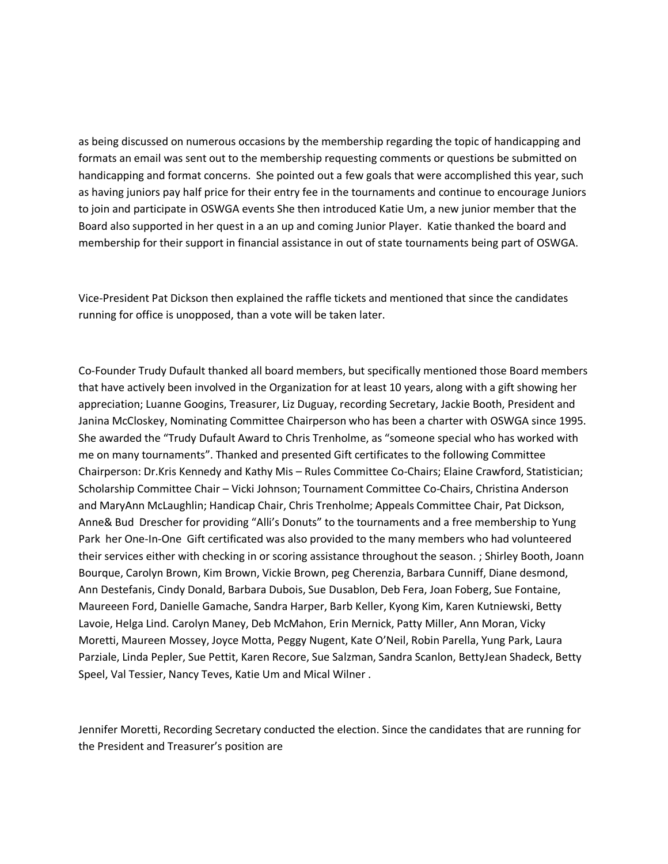as being discussed on numerous occasions by the membership regarding the topic of handicapping and formats an email was sent out to the membership requesting comments or questions be submitted on handicapping and format concerns. She pointed out a few goals that were accomplished this year, such as having juniors pay half price for their entry fee in the tournaments and continue to encourage Juniors to join and participate in OSWGA events She then introduced Katie Um, a new junior member that the Board also supported in her quest in a an up and coming Junior Player. Katie thanked the board and membership for their support in financial assistance in out of state tournaments being part of OSWGA.

Vice-President Pat Dickson then explained the raffle tickets and mentioned that since the candidates running for office is unopposed, than a vote will be taken later.

Co-Founder Trudy Dufault thanked all board members, but specifically mentioned those Board members that have actively been involved in the Organization for at least 10 years, along with a gift showing her appreciation; Luanne Googins, Treasurer, Liz Duguay, recording Secretary, Jackie Booth, President and Janina McCloskey, Nominating Committee Chairperson who has been a charter with OSWGA since 1995. She awarded the "Trudy Dufault Award to Chris Trenholme, as "someone special who has worked with me on many tournaments". Thanked and presented Gift certificates to the following Committee Chairperson: Dr.Kris Kennedy and Kathy Mis – Rules Committee Co-Chairs; Elaine Crawford, Statistician; Scholarship Committee Chair – Vicki Johnson; Tournament Committee Co-Chairs, Christina Anderson and MaryAnn McLaughlin; Handicap Chair, Chris Trenholme; Appeals Committee Chair, Pat Dickson, Anne& Bud Drescher for providing "Alli's Donuts" to the tournaments and a free membership to Yung Park her One-In-One Gift certificated was also provided to the many members who had volunteered their services either with checking in or scoring assistance throughout the season. ; Shirley Booth, Joann Bourque, Carolyn Brown, Kim Brown, Vickie Brown, peg Cherenzia, Barbara Cunniff, Diane desmond, Ann Destefanis, Cindy Donald, Barbara Dubois, Sue Dusablon, Deb Fera, Joan Foberg, Sue Fontaine, Maureeen Ford, Danielle Gamache, Sandra Harper, Barb Keller, Kyong Kim, Karen Kutniewski, Betty Lavoie, Helga Lind. Carolyn Maney, Deb McMahon, Erin Mernick, Patty Miller, Ann Moran, Vicky Moretti, Maureen Mossey, Joyce Motta, Peggy Nugent, Kate O'Neil, Robin Parella, Yung Park, Laura Parziale, Linda Pepler, Sue Pettit, Karen Recore, Sue Salzman, Sandra Scanlon, BettyJean Shadeck, Betty Speel, Val Tessier, Nancy Teves, Katie Um and Mical Wilner .

Jennifer Moretti, Recording Secretary conducted the election. Since the candidates that are running for the President and Treasurer's position are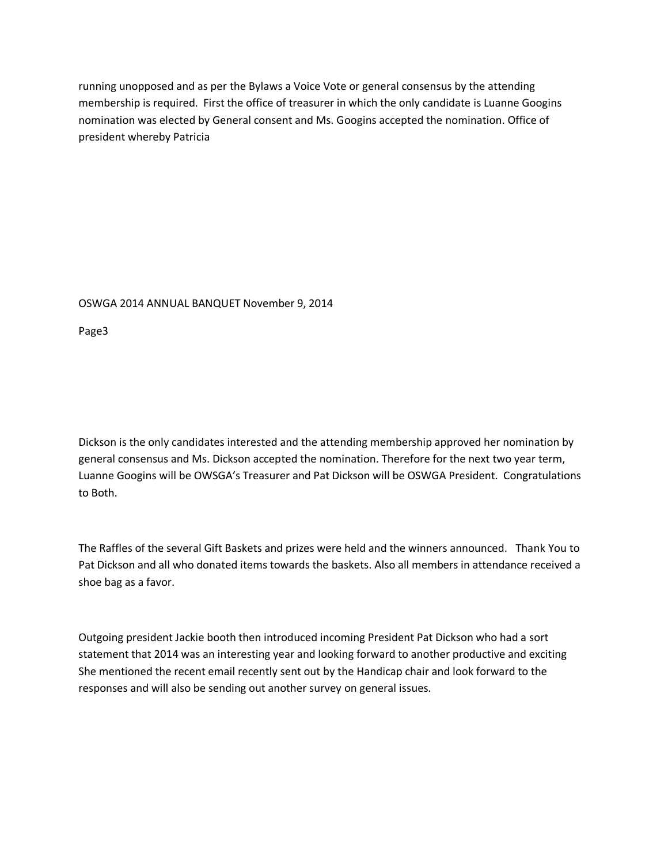running unopposed and as per the Bylaws a Voice Vote or general consensus by the attending membership is required. First the office of treasurer in which the only candidate is Luanne Googins nomination was elected by General consent and Ms. Googins accepted the nomination. Office of president whereby Patricia

## OSWGA 2014 ANNUAL BANQUET November 9, 2014

Page3

Dickson is the only candidates interested and the attending membership approved her nomination by general consensus and Ms. Dickson accepted the nomination. Therefore for the next two year term, Luanne Googins will be OWSGA's Treasurer and Pat Dickson will be OSWGA President. Congratulations to Both.

The Raffles of the several Gift Baskets and prizes were held and the winners announced. Thank You to Pat Dickson and all who donated items towards the baskets. Also all members in attendance received a shoe bag as a favor.

Outgoing president Jackie booth then introduced incoming President Pat Dickson who had a sort statement that 2014 was an interesting year and looking forward to another productive and exciting She mentioned the recent email recently sent out by the Handicap chair and look forward to the responses and will also be sending out another survey on general issues.